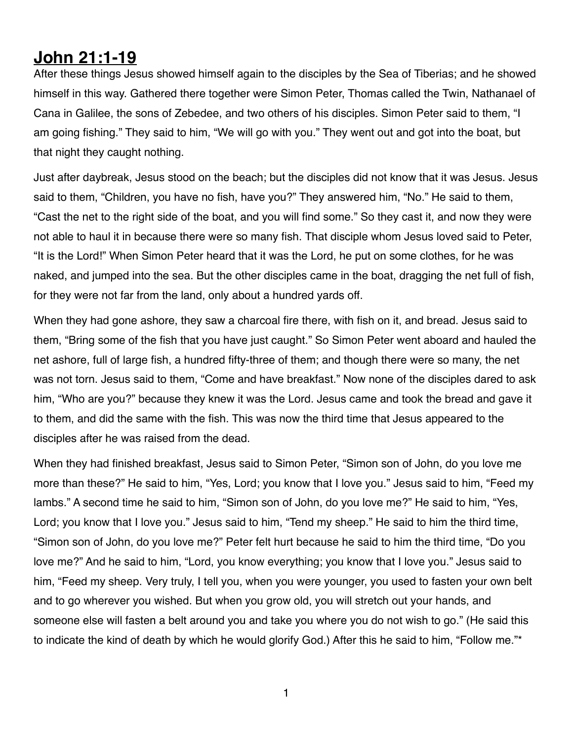## **John 21:1-19**

After these things Jesus showed himself again to the disciples by the Sea of Tiberias; and he showed himself in this way. Gathered there together were Simon Peter, Thomas called the Twin, Nathanael of Cana in Galilee, the sons of Zebedee, and two others of his disciples. Simon Peter said to them, "I am going fishing." They said to him, "We will go with you." They went out and got into the boat, but that night they caught nothing.

Just after daybreak, Jesus stood on the beach; but the disciples did not know that it was Jesus. Jesus said to them, "Children, you have no fish, have you?" They answered him, "No." He said to them, "Cast the net to the right side of the boat, and you will find some." So they cast it, and now they were not able to haul it in because there were so many fish. That disciple whom Jesus loved said to Peter, "It is the Lord!" When Simon Peter heard that it was the Lord, he put on some clothes, for he was naked, and jumped into the sea. But the other disciples came in the boat, dragging the net full of fish, for they were not far from the land, only about a hundred yards off.

When they had gone ashore, they saw a charcoal fire there, with fish on it, and bread. Jesus said to them, "Bring some of the fish that you have just caught." So Simon Peter went aboard and hauled the net ashore, full of large fish, a hundred fifty-three of them; and though there were so many, the net was not torn. Jesus said to them, "Come and have breakfast." Now none of the disciples dared to ask him, "Who are you?" because they knew it was the Lord. Jesus came and took the bread and gave it to them, and did the same with the fish. This was now the third time that Jesus appeared to the disciples after he was raised from the dead.

When they had finished breakfast, Jesus said to Simon Peter, "Simon son of John, do you love me more than these?" He said to him, "Yes, Lord; you know that I love you." Jesus said to him, "Feed my lambs." A second time he said to him, "Simon son of John, do you love me?" He said to him, "Yes, Lord; you know that I love you." Jesus said to him, "Tend my sheep." He said to him the third time, "Simon son of John, do you love me?" Peter felt hurt because he said to him the third time, "Do you love me?" And he said to him, "Lord, you know everything; you know that I love you." Jesus said to him, "Feed my sheep. Very truly, I tell you, when you were younger, you used to fasten your own belt and to go wherever you wished. But when you grow old, you will stretch out your hands, and someone else will fasten a belt around you and take you where you do not wish to go." (He said this to indicate the kind of death by which he would glorify God.) After this he said to him, "Follow me."\*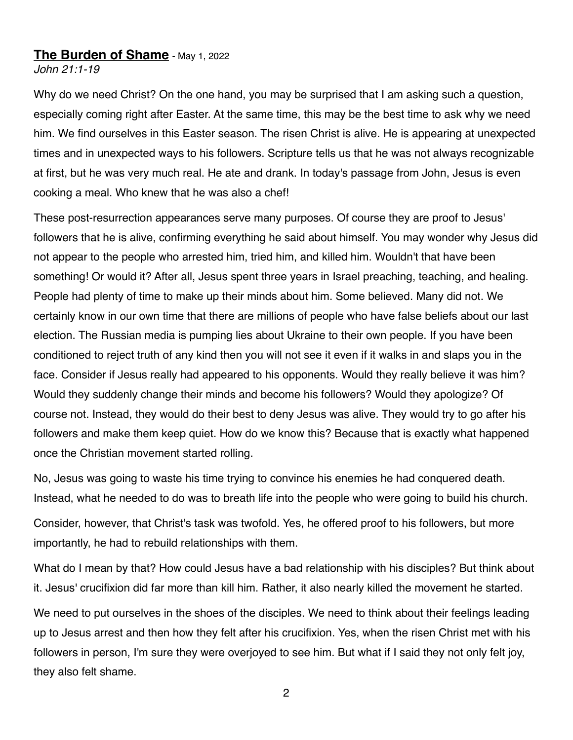## **The Burden of Shame** - May 1, 2022

*John 21:1-19*

Why do we need Christ? On the one hand, you may be surprised that I am asking such a question, especially coming right after Easter. At the same time, this may be the best time to ask why we need him. We find ourselves in this Easter season. The risen Christ is alive. He is appearing at unexpected times and in unexpected ways to his followers. Scripture tells us that he was not always recognizable at first, but he was very much real. He ate and drank. In today's passage from John, Jesus is even cooking a meal. Who knew that he was also a chef!

These post-resurrection appearances serve many purposes. Of course they are proof to Jesus' followers that he is alive, confirming everything he said about himself. You may wonder why Jesus did not appear to the people who arrested him, tried him, and killed him. Wouldn't that have been something! Or would it? After all, Jesus spent three years in Israel preaching, teaching, and healing. People had plenty of time to make up their minds about him. Some believed. Many did not. We certainly know in our own time that there are millions of people who have false beliefs about our last election. The Russian media is pumping lies about Ukraine to their own people. If you have been conditioned to reject truth of any kind then you will not see it even if it walks in and slaps you in the face. Consider if Jesus really had appeared to his opponents. Would they really believe it was him? Would they suddenly change their minds and become his followers? Would they apologize? Of course not. Instead, they would do their best to deny Jesus was alive. They would try to go after his followers and make them keep quiet. How do we know this? Because that is exactly what happened once the Christian movement started rolling.

No, Jesus was going to waste his time trying to convince his enemies he had conquered death. Instead, what he needed to do was to breath life into the people who were going to build his church.

Consider, however, that Christ's task was twofold. Yes, he offered proof to his followers, but more importantly, he had to rebuild relationships with them.

What do I mean by that? How could Jesus have a bad relationship with his disciples? But think about it. Jesus' crucifixion did far more than kill him. Rather, it also nearly killed the movement he started.

We need to put ourselves in the shoes of the disciples. We need to think about their feelings leading up to Jesus arrest and then how they felt after his crucifixion. Yes, when the risen Christ met with his followers in person, I'm sure they were overjoyed to see him. But what if I said they not only felt joy, they also felt shame.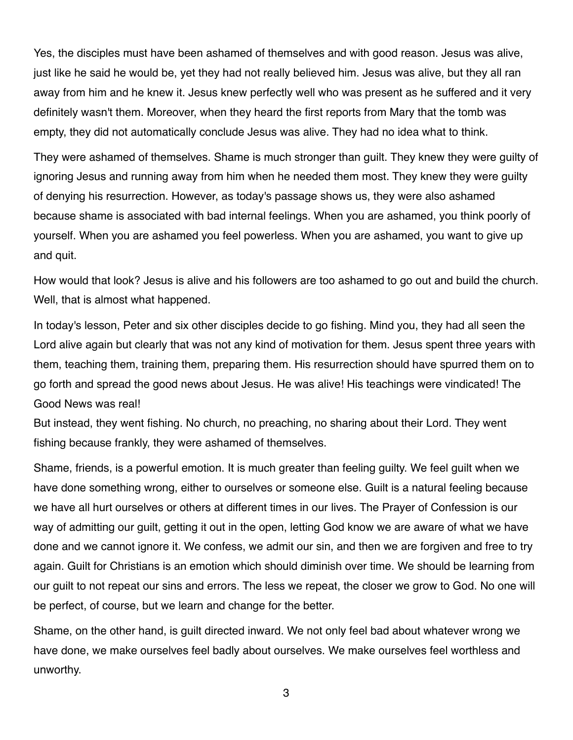Yes, the disciples must have been ashamed of themselves and with good reason. Jesus was alive, just like he said he would be, yet they had not really believed him. Jesus was alive, but they all ran away from him and he knew it. Jesus knew perfectly well who was present as he suffered and it very definitely wasn't them. Moreover, when they heard the first reports from Mary that the tomb was empty, they did not automatically conclude Jesus was alive. They had no idea what to think.

They were ashamed of themselves. Shame is much stronger than guilt. They knew they were guilty of ignoring Jesus and running away from him when he needed them most. They knew they were guilty of denying his resurrection. However, as today's passage shows us, they were also ashamed because shame is associated with bad internal feelings. When you are ashamed, you think poorly of yourself. When you are ashamed you feel powerless. When you are ashamed, you want to give up and quit.

How would that look? Jesus is alive and his followers are too ashamed to go out and build the church. Well, that is almost what happened.

In today's lesson, Peter and six other disciples decide to go fishing. Mind you, they had all seen the Lord alive again but clearly that was not any kind of motivation for them. Jesus spent three years with them, teaching them, training them, preparing them. His resurrection should have spurred them on to go forth and spread the good news about Jesus. He was alive! His teachings were vindicated! The Good News was real!

But instead, they went fishing. No church, no preaching, no sharing about their Lord. They went fishing because frankly, they were ashamed of themselves.

Shame, friends, is a powerful emotion. It is much greater than feeling guilty. We feel guilt when we have done something wrong, either to ourselves or someone else. Guilt is a natural feeling because we have all hurt ourselves or others at different times in our lives. The Prayer of Confession is our way of admitting our guilt, getting it out in the open, letting God know we are aware of what we have done and we cannot ignore it. We confess, we admit our sin, and then we are forgiven and free to try again. Guilt for Christians is an emotion which should diminish over time. We should be learning from our guilt to not repeat our sins and errors. The less we repeat, the closer we grow to God. No one will be perfect, of course, but we learn and change for the better.

Shame, on the other hand, is guilt directed inward. We not only feel bad about whatever wrong we have done, we make ourselves feel badly about ourselves. We make ourselves feel worthless and unworthy.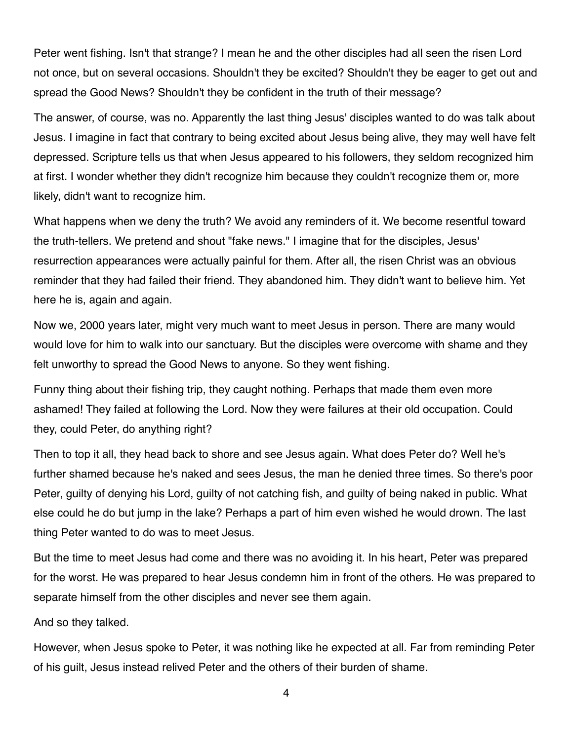Peter went fishing. Isn't that strange? I mean he and the other disciples had all seen the risen Lord not once, but on several occasions. Shouldn't they be excited? Shouldn't they be eager to get out and spread the Good News? Shouldn't they be confident in the truth of their message?

The answer, of course, was no. Apparently the last thing Jesus' disciples wanted to do was talk about Jesus. I imagine in fact that contrary to being excited about Jesus being alive, they may well have felt depressed. Scripture tells us that when Jesus appeared to his followers, they seldom recognized him at first. I wonder whether they didn't recognize him because they couldn't recognize them or, more likely, didn't want to recognize him.

What happens when we deny the truth? We avoid any reminders of it. We become resentful toward the truth-tellers. We pretend and shout "fake news." I imagine that for the disciples, Jesus' resurrection appearances were actually painful for them. After all, the risen Christ was an obvious reminder that they had failed their friend. They abandoned him. They didn't want to believe him. Yet here he is, again and again.

Now we, 2000 years later, might very much want to meet Jesus in person. There are many would would love for him to walk into our sanctuary. But the disciples were overcome with shame and they felt unworthy to spread the Good News to anyone. So they went fishing.

Funny thing about their fishing trip, they caught nothing. Perhaps that made them even more ashamed! They failed at following the Lord. Now they were failures at their old occupation. Could they, could Peter, do anything right?

Then to top it all, they head back to shore and see Jesus again. What does Peter do? Well he's further shamed because he's naked and sees Jesus, the man he denied three times. So there's poor Peter, guilty of denying his Lord, guilty of not catching fish, and guilty of being naked in public. What else could he do but jump in the lake? Perhaps a part of him even wished he would drown. The last thing Peter wanted to do was to meet Jesus.

But the time to meet Jesus had come and there was no avoiding it. In his heart, Peter was prepared for the worst. He was prepared to hear Jesus condemn him in front of the others. He was prepared to separate himself from the other disciples and never see them again.

And so they talked.

However, when Jesus spoke to Peter, it was nothing like he expected at all. Far from reminding Peter of his guilt, Jesus instead relived Peter and the others of their burden of shame.